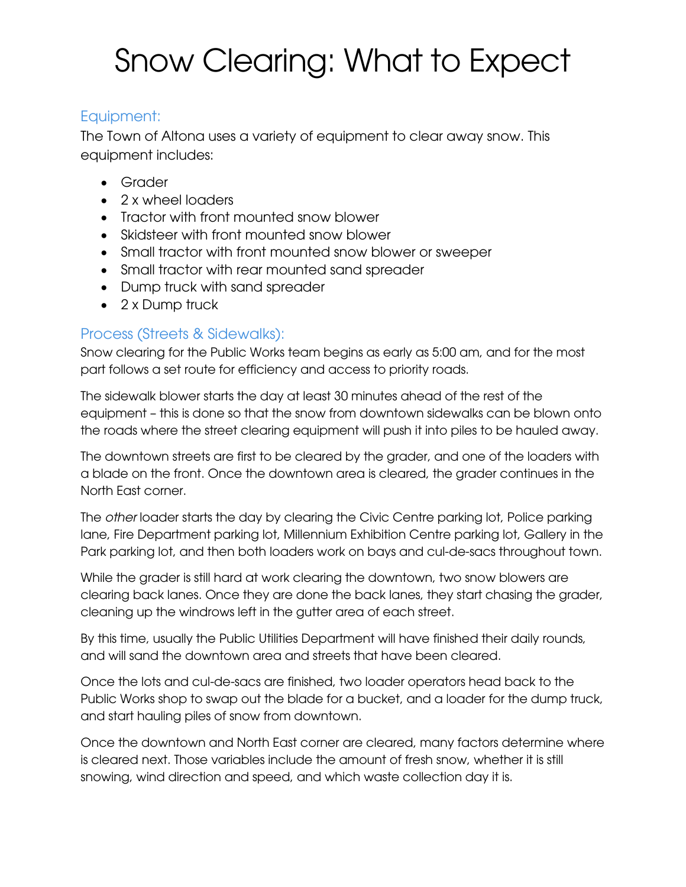# Snow Clearing: What to Expect

### Equipment:

The Town of Altona uses a variety of equipment to clear away snow. This equipment includes:

- Grader
- 2 x wheel loaders
- Tractor with front mounted snow blower
- Skidsteer with front mounted snow blower
- Small tractor with front mounted snow blower or sweeper
- Small tractor with rear mounted sand spreader
- Dump truck with sand spreader
- 2 x Dump truck

## Process (Streets & Sidewalks):

Snow clearing for the Public Works team begins as early as 5:00 am, and for the most part follows a set route for efficiency and access to priority roads.

The sidewalk blower starts the day at least 30 minutes ahead of the rest of the equipment – this is done so that the snow from downtown sidewalks can be blown onto the roads where the street clearing equipment will push it into piles to be hauled away.

The downtown streets are first to be cleared by the grader, and one of the loaders with a blade on the front. Once the downtown area is cleared, the grader continues in the North East corner.

The *other* loader starts the day by clearing the Civic Centre parking lot, Police parking lane, Fire Department parking lot, Millennium Exhibition Centre parking lot, Gallery in the Park parking lot, and then both loaders work on bays and cul-de-sacs throughout town.

While the grader is still hard at work clearing the downtown, two snow blowers are clearing back lanes. Once they are done the back lanes, they start chasing the grader, cleaning up the windrows left in the gutter area of each street.

By this time, usually the Public Utilities Department will have finished their daily rounds, and will sand the downtown area and streets that have been cleared.

Once the lots and cul-de-sacs are finished, two loader operators head back to the Public Works shop to swap out the blade for a bucket, and a loader for the dump truck, and start hauling piles of snow from downtown.

Once the downtown and North East corner are cleared, many factors determine where is cleared next. Those variables include the amount of fresh snow, whether it is still snowing, wind direction and speed, and which waste collection day it is.